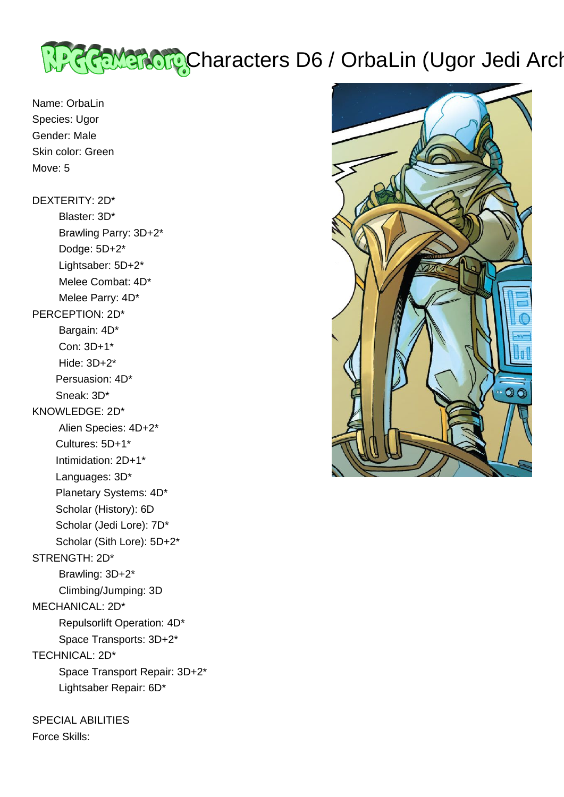# <u>प्रेश्टरिक अवतिर्गस्</u>रCharacters D6 / OrbaLin (Ugor Jedi Archivist)

Name: OrbaLin Species: Ugor Gender: Male Skin color: Green Move: 5

DEXTERITY: 2D\* Blaster: 3D\* Brawling Parry: 3D+2\* Dodge: 5D+2\* Lightsaber: 5D+2\* Melee Combat: 4D\* Melee Parry: 4D\* PERCEPTION: 2D\* Bargain: 4D\* Con: 3D+1\* Hide: 3D+2\* Persuasion: 4D\* Sneak: 3D\* KNOWLEDGE: 2D\* Alien Species: 4D+2\* Cultures: 5D+1\* Intimidation: 2D+1\* Languages: 3D\* Planetary Systems: 4D\* Scholar (History): 6D Scholar (Jedi Lore): 7D\* Scholar (Sith Lore): 5D+2\* STRENGTH: 2D\* Brawling: 3D+2\* Climbing/Jumping: 3D MECHANICAL: 2D\* Repulsorlift Operation: 4D\* Space Transports: 3D+2\* TECHNICAL: 2D\*

 Space Transport Repair: 3D+2\* Lightsaber Repair: 6D\*

SPECIAL ABILITIES Force Skills:

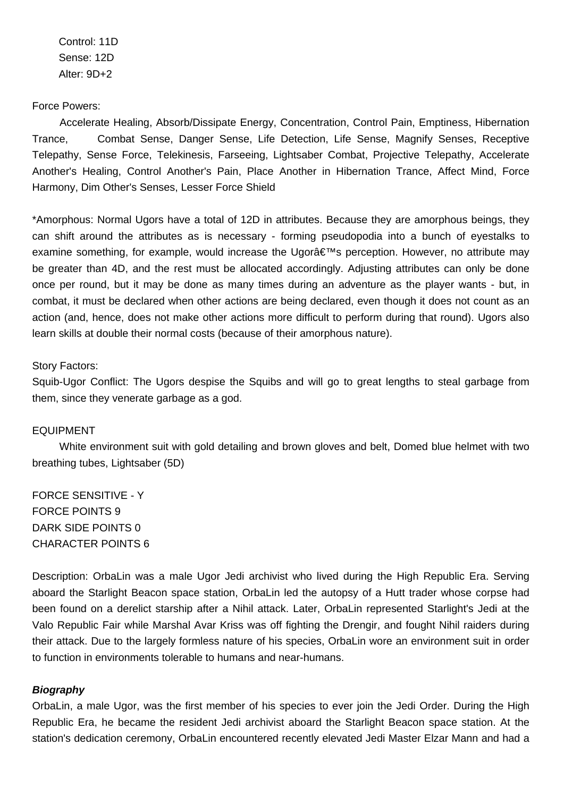Control: 11D Sense: 12D Alter: 9D+2

# Force Powers:

 Accelerate Healing, Absorb/Dissipate Energy, Concentration, Control Pain, Emptiness, Hibernation Trance, Combat Sense, Danger Sense, Life Detection, Life Sense, Magnify Senses, Receptive Telepathy, Sense Force, Telekinesis, Farseeing, Lightsaber Combat, Projective Telepathy, Accelerate Another's Healing, Control Another's Pain, Place Another in Hibernation Trance, Affect Mind, Force Harmony, Dim Other's Senses, Lesser Force Shield

\*Amorphous: Normal Ugors have a total of 12D in attributes. Because they are amorphous beings, they can shift around the attributes as is necessary - forming pseudopodia into a bunch of eyestalks to examine something, for example, would increase the Ugor $\hat{\mathbf{a}} \in \mathbb{M}$  perception. However, no attribute may be greater than 4D, and the rest must be allocated accordingly. Adjusting attributes can only be done once per round, but it may be done as many times during an adventure as the player wants - but, in combat, it must be declared when other actions are being declared, even though it does not count as an action (and, hence, does not make other actions more difficult to perform during that round). Ugors also learn skills at double their normal costs (because of their amorphous nature).

# Story Factors:

Squib-Ugor Conflict: The Ugors despise the Squibs and will go to great lengths to steal garbage from them, since they venerate garbage as a god.

# EQUIPMENT

 White environment suit with gold detailing and brown gloves and belt, Domed blue helmet with two breathing tubes, Lightsaber (5D)

FORCE SENSITIVE - Y FORCE POINTS 9 DARK SIDE POINTS 0 CHARACTER POINTS 6

Description: OrbaLin was a male Ugor Jedi archivist who lived during the High Republic Era. Serving aboard the Starlight Beacon space station, OrbaLin led the autopsy of a Hutt trader whose corpse had been found on a derelict starship after a Nihil attack. Later, OrbaLin represented Starlight's Jedi at the Valo Republic Fair while Marshal Avar Kriss was off fighting the Drengir, and fought Nihil raiders during their attack. Due to the largely formless nature of his species, OrbaLin wore an environment suit in order to function in environments tolerable to humans and near-humans.

#### **Biography**

OrbaLin, a male Ugor, was the first member of his species to ever join the Jedi Order. During the High Republic Era, he became the resident Jedi archivist aboard the Starlight Beacon space station. At the station's dedication ceremony, OrbaLin encountered recently elevated Jedi Master Elzar Mann and had a